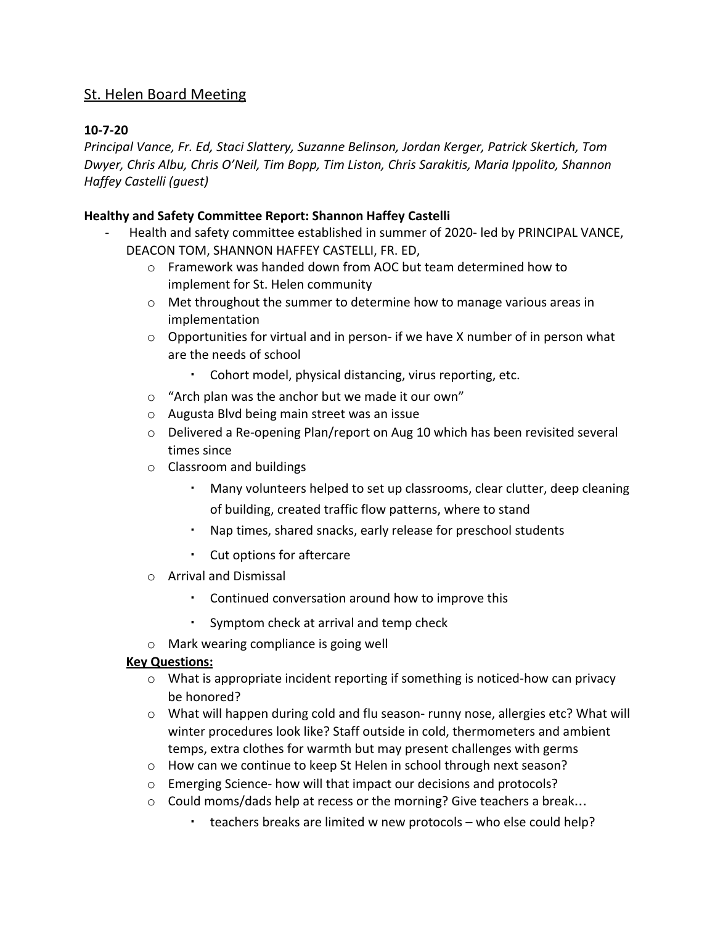# St. Helen Board Meeting

## **10-7-20**

*Principal Vance, Fr. Ed, Staci Slattery, Suzanne Belinson, Jordan Kerger, Patrick Skertich, Tom Dwyer, Chris Albu, Chris O'Neil, Tim Bopp, Tim Liston, Chris Sarakitis, Maria Ippolito, Shannon Haffey Castelli (guest)*

### **Healthy and Safety Committee Report: Shannon Haffey Castelli**

- Health and safety committee established in summer of 2020- led by PRINCIPAL VANCE, DEACON TOM, SHANNON HAFFEY CASTELLI, FR. ED,
	- o Framework was handed down from AOC but team determined how to implement for St. Helen community
	- o Met throughout the summer to determine how to manage various areas in implementation
	- $\circ$  Opportunities for virtual and in person- if we have X number of in person what are the needs of school
		- Cohort model, physical distancing, virus reporting, etc.
	- o "Arch plan was the anchor but we made it our own"
	- o Augusta Blvd being main street was an issue
	- $\circ$  Delivered a Re-opening Plan/report on Aug 10 which has been revisited several times since
	- o Classroom and buildings
		- Many volunteers helped to set up classrooms, clear clutter, deep cleaning of building, created traffic flow patterns, where to stand
		- Nap times, shared snacks, early release for preschool students
		- Cut options for aftercare
	- o Arrival and Dismissal
		- Continued conversation around how to improve this
		- Symptom check at arrival and temp check
	- o Mark wearing compliance is going well

#### **Key Questions:**

- $\circ$  What is appropriate incident reporting if something is noticed-how can privacy be honored?
- $\circ$  What will happen during cold and flu season- runny nose, allergies etc? What will winter procedures look like? Staff outside in cold, thermometers and ambient temps, extra clothes for warmth but may present challenges with germs
- o How can we continue to keep St Helen in school through next season?
- o Emerging Science- how will that impact our decisions and protocols?
- $\circ$  Could moms/dads help at recess or the morning? Give teachers a break...
	- teachers breaks are limited w new protocols who else could help?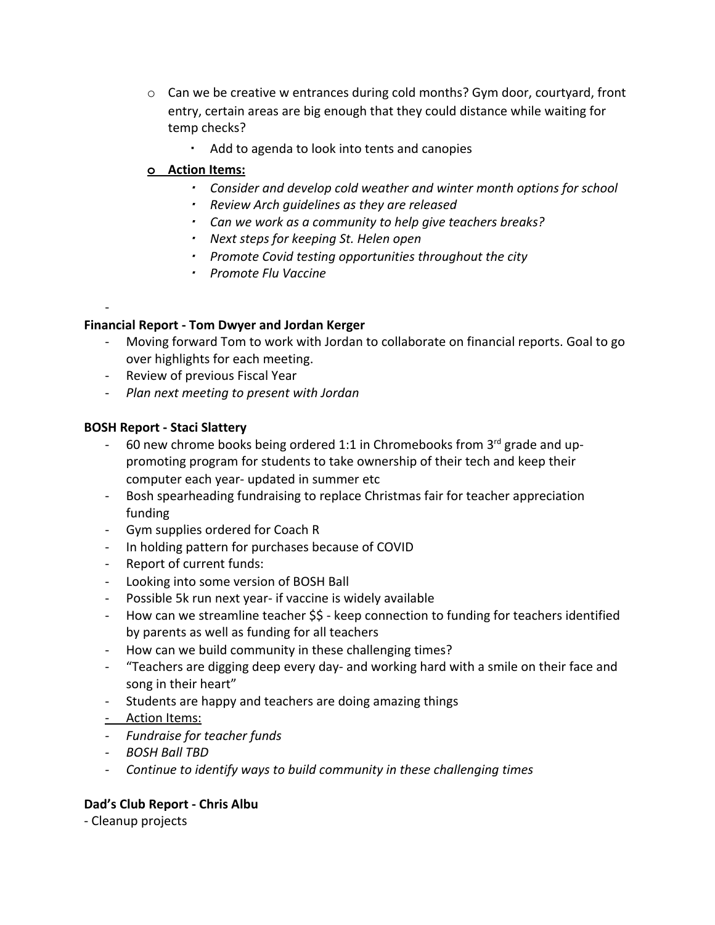- o Can we be creative w entrances during cold months? Gym door, courtyard, front entry, certain areas are big enough that they could distance while waiting for temp checks?
	- Add to agenda to look into tents and canopies

## **o Action Items:**

- *Consider and develop cold weather and winter month options for school*
- *Review Arch guidelines as they are released*
- *Can we work as a community to help give teachers breaks?*
- *Next steps for keeping St. Helen open*
- *Promote Covid testing opportunities throughout the city*
- *Promote Flu Vaccine*

# **Financial Report - Tom Dwyer and Jordan Kerger**

- Moving forward Tom to work with Jordan to collaborate on financial reports. Goal to go over highlights for each meeting.
- Review of previous Fiscal Year
- *Plan next meeting to present with Jordan*

# **BOSH Report - Staci Slattery**

-

- 60 new chrome books being ordered 1:1 in Chromebooks from  $3^{rd}$  grade and uppromoting program for students to take ownership of their tech and keep their computer each year- updated in summer etc
- Bosh spearheading fundraising to replace Christmas fair for teacher appreciation funding
- Gym supplies ordered for Coach R
- In holding pattern for purchases because of COVID
- Report of current funds:
- Looking into some version of BOSH Ball
- Possible 5k run next year- if vaccine is widely available
- How can we streamline teacher \$\$ keep connection to funding for teachers identified by parents as well as funding for all teachers
- How can we build community in these challenging times?
- "Teachers are digging deep every day- and working hard with a smile on their face and song in their heart"
- Students are happy and teachers are doing amazing things
- Action Items:
- *- Fundraise for teacher funds*
- *- BOSH Ball TBD*
- *- Continue to identify ways to build community in these challenging times*

# **Dad's Club Report - Chris Albu**

- Cleanup projects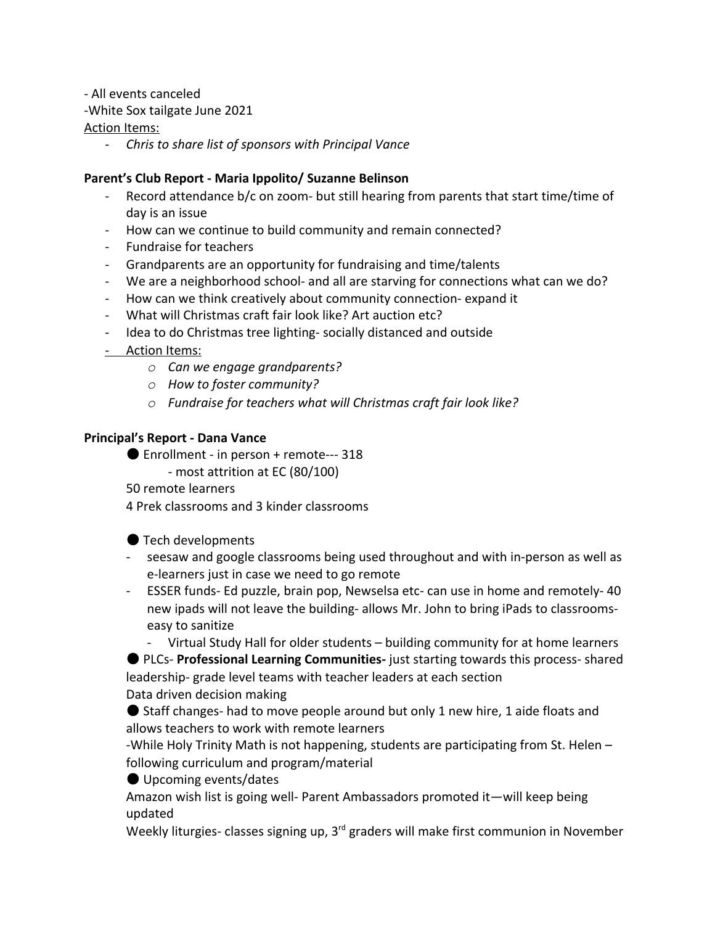- All events canceled

-White Sox tailgate June 2021

### Action Items:

*- Chris to share list of sponsors with Principal Vance*

### **Parent's Club Report - Maria Ippolito/ Suzanne Belinson**

- Record attendance b/c on zoom- but still hearing from parents that start time/time of day is an issue
- How can we continue to build community and remain connected?
- Fundraise for teachers
- Grandparents are an opportunity for fundraising and time/talents
- We are a neighborhood school- and all are starving for connections what can we do?
- How can we think creatively about community connection- expand it
- What will Christmas craft fair look like? Art auction etc?
- Idea to do Christmas tree lighting- socially distanced and outside
- Action Items:
	- *o Can we engage grandparents?*
	- *o How to foster community?*
	- *o Fundraise for teachers what will Christmas craft fair look like?*

### **Principal's Report - Dana Vance**

- Enrollment in person + remote--- 318
	- most attrition at EC (80/100)
- 50 remote learners

4 Prek classrooms and 3 kinder classrooms

## ● Tech developments

- seesaw and google classrooms being used throughout and with in-person as well as e-learners just in case we need to go remote
- ESSER funds- Ed puzzle, brain pop, Newselsa etc- can use in home and remotely- 40 new ipads will not leave the building- allows Mr. John to bring iPads to classroomseasy to sanitize

- Virtual Study Hall for older students – building community for at home learners

● PLCs- **Professional Learning Communities-** just starting towards this process- shared leadership- grade level teams with teacher leaders at each section Data driven decision making

● Staff changes- had to move people around but only 1 new hire, 1 aide floats and allows teachers to work with remote learners

-While Holy Trinity Math is not happening, students are participating from St. Helen – following curriculum and program/material

● Upcoming events/dates

Amazon wish list is going well- Parent Ambassadors promoted it—will keep being updated

Weekly liturgies- classes signing up, 3<sup>rd</sup> graders will make first communion in November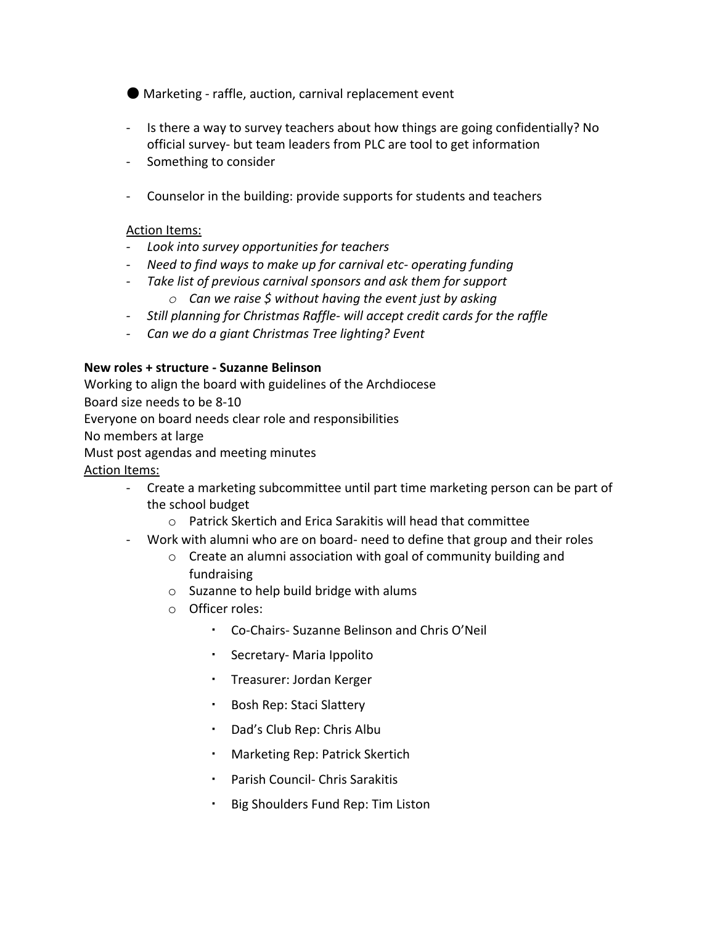- Marketing raffle, auction, carnival replacement event
- Is there a way to survey teachers about how things are going confidentially? No official survey- but team leaders from PLC are tool to get information
- Something to consider
- Counselor in the building: provide supports for students and teachers

#### Action Items:

- *- Look into survey opportunities for teachers*
- *- Need to find ways to make up for carnival etc- operating funding*
- *- Take list of previous carnival sponsors and ask them for support*
	- *o Can we raise \$ without having the event just by asking*
- *- Still planning for Christmas Raffle- will accept credit cards for the raffle*
- *- Can we do a giant Christmas Tree lighting? Event*

#### **New roles + structure - Suzanne Belinson**

Working to align the board with guidelines of the Archdiocese

Board size needs to be 8-10

Everyone on board needs clear role and responsibilities

No members at large

Must post agendas and meeting minutes

Action Items:

- Create a marketing subcommittee until part time marketing person can be part of the school budget
	- o Patrick Skertich and Erica Sarakitis will head that committee
- Work with alumni who are on board- need to define that group and their roles
	- o Create an alumni association with goal of community building and fundraising
	- o Suzanne to help build bridge with alums
	- o Officer roles:
		- Co-Chairs- Suzanne Belinson and Chris O'Neil
		- Secretary- Maria Ippolito
		- Treasurer: Jordan Kerger
		- Bosh Rep: Staci Slattery
		- Dad's Club Rep: Chris Albu
		- Marketing Rep: Patrick Skertich
		- Parish Council- Chris Sarakitis
		- Big Shoulders Fund Rep: Tim Liston